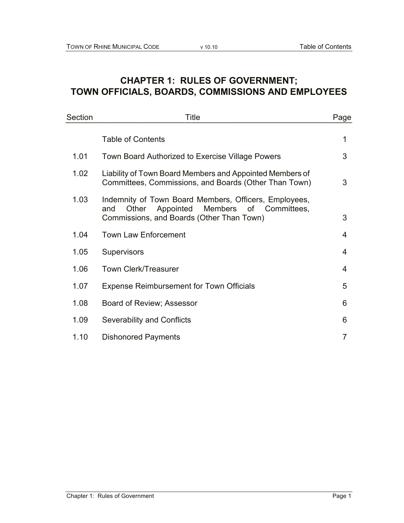# **CHAPTER 1: RULES OF GOVERNMENT; TOWN OFFICIALS, BOARDS, COMMISSIONS AND EMPLOYEES**

| Section | Title                                                                                                                                                     | Page           |
|---------|-----------------------------------------------------------------------------------------------------------------------------------------------------------|----------------|
|         | <b>Table of Contents</b>                                                                                                                                  | 1              |
| 1.01    | Town Board Authorized to Exercise Village Powers                                                                                                          | 3              |
| 1.02    | Liability of Town Board Members and Appointed Members of<br>Committees, Commissions, and Boards (Other Than Town)                                         | 3              |
| 1.03    | Indemnity of Town Board Members, Officers, Employees,<br>Appointed<br>Members of Committees,<br>Other<br>and<br>Commissions, and Boards (Other Than Town) | 3              |
| 1.04    | <b>Town Law Enforcement</b>                                                                                                                               | 4              |
| 1.05    | <b>Supervisors</b>                                                                                                                                        | 4              |
| 1.06    | <b>Town Clerk/Treasurer</b>                                                                                                                               | 4              |
| 1.07    | <b>Expense Reimbursement for Town Officials</b>                                                                                                           | 5              |
| 1.08    | Board of Review; Assessor                                                                                                                                 | 6              |
| 1.09    | Severability and Conflicts                                                                                                                                | 6              |
| 1.10    | <b>Dishonored Payments</b>                                                                                                                                | $\overline{7}$ |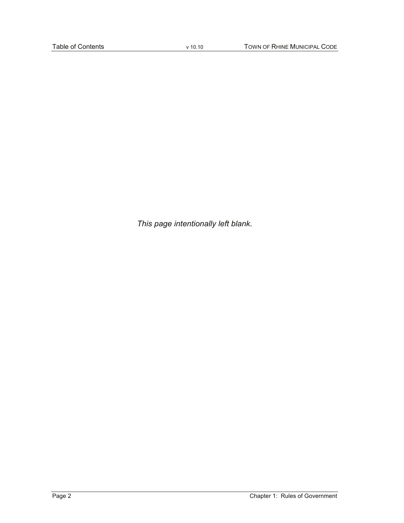*This page intentionally left blank.*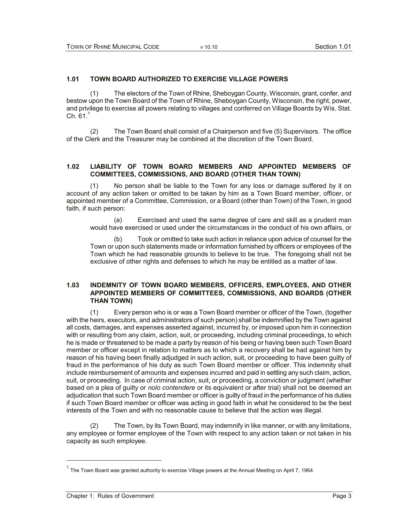#### **1.01 TOWN BOARD AUTHORIZED TO EXERCISE VILLAGE POWERS**

(1) The electors of the Town of Rhine, Sheboygan County, Wisconsin, grant, confer, and bestow upon the Town Board of the Town of Rhine, Sheboygan County, Wisconsin, the right, power, and privilege to exercise all powers relating to villages and conferred on Village Boards by Wis. Stat.  $Ch. 61<sup>1</sup>$ 

(2) The Town Board shall consist of a Chairperson and five (5) Supervisors. The office of the Clerk and the Treasurer may be combined at the discretion of the Town Board.

#### **1.02 LIABILITY OF TOWN BOARD MEMBERS AND APPOINTED MEMBERS OF COMMITTEES, COMMISSIONS, AND BOARD (OTHER THAN TOWN)**

(1) No person shall be liable to the Town for any loss or damage suffered by it on account of any action taken or omitted to be taken by him as a Town Board member, officer, or appointed member of a Committee, Commission, or a Board (other than Town) of the Town, in good faith, if such person:

(a) Exercised and used the same degree of care and skill as a prudent man would have exercised or used under the circumstances in the conduct of his own affairs, or

(b) Took or omitted to take such action in reliance upon advice of counsel for the Town or upon such statements made or information furnished by officers or employees of the Town which he had reasonable grounds to believe to be true. The foregoing shall not be exclusive of other rights and defenses to which he may be entitled as a matter of law.

#### **1.03 INDEMNITY OF TOWN BOARD MEMBERS, OFFICERS, EMPLOYEES, AND OTHER APPOINTED MEMBERS OF COMMITTEES, COMMISSIONS, AND BOARDS (OTHER THAN TOWN)**

(1) Every person who is or was a Town Board member or officer of the Town, (together with the heirs, executors, and administrators of such person) shall be indemnified by the Town against all costs, damages, and expenses asserted against, incurred by, or imposed upon him in connection with or resulting from any claim, action, suit, or proceeding, including criminal proceedings, to which he is made or threatened to be made a party by reason of his being or having been such Town Board member or officer except in relation to matters as to which a recovery shall be had against him by reason of his having been finally adjudged in such action, suit, or proceeding to have been guilty of fraud in the performance of his duty as such Town Board member or officer. This indemnity shall include reimbursement of amounts and expenses incurred and paid in settling any such claim, action, suit, or proceeding. In case of criminal action, suit, or proceeding, a conviction or judgment (whether based on a plea of guilty or *nolo contendere* or its equivalent or after trial) shall not be deemed an adjudication that such Town Board member or officer is guilty of fraud in the performance of his duties if such Town Board member or officer was acting in good faith in what he considered to be the best interests of the Town and with no reasonable cause to believe that the action was illegal.

(2) The Town, by its Town Board, may indemnify in like manner, or with any limitations, any employee or former employee of the Town with respect to any action taken or not taken in his capacity as such employee.

 $1$  The Town Board was granted authority to exercise Village powers at the Annual Meeting on April 7, 1964.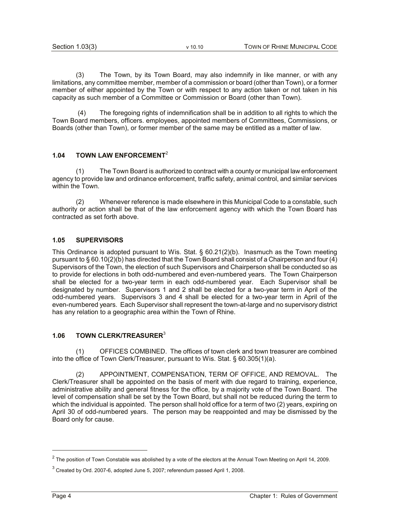(3) The Town, by its Town Board, may also indemnify in like manner, or with any limitations, any committee member, member of a commission or board (other than Town), or a former member of either appointed by the Town or with respect to any action taken or not taken in his capacity as such member of a Committee or Commission or Board (other than Town).

 (4) The foregoing rights of indemnification shall be in addition to all rights to which the Town Board members, officers. employees, appointed members of Committees, Commissions, or Boards (other than Town), or former member of the same may be entitled as a matter of law.

## **1.04 TOWN LAW ENFORCEMENT**<sup>2</sup>

(1) The Town Board is authorized to contract with a county or municipal law enforcement agency to provide law and ordinance enforcement, traffic safety, animal control, and similar services within the Town.

(2) Whenever reference is made elsewhere in this Municipal Code to a constable, such authority or action shall be that of the law enforcement agency with which the Town Board has contracted as set forth above.

## **1.05 SUPERVISORS**

This Ordinance is adopted pursuant to Wis. Stat. § 60.21(2)(b). Inasmuch as the Town meeting pursuant to § 60.10(2)(b) has directed that the Town Board shall consist of a Chairperson and four (4) Supervisors of the Town, the election of such Supervisors and Chairperson shall be conducted so as to provide for elections in both odd-numbered and even-numbered years. The Town Chairperson shall be elected for a two-year term in each odd-numbered year. Each Supervisor shall be designated by number. Supervisors 1 and 2 shall be elected for a two-year term in April of the odd-numbered years. Supervisors 3 and 4 shall be elected for a two-year term in April of the even-numbered years. Each Supervisor shall represent the town-at-large and no supervisory district has any relation to a geographic area within the Town of Rhine.

# **1.06 TOWN CLERK/TREASURER**<sup>3</sup>

(1) OFFICES COMBINED. The offices of town clerk and town treasurer are combined into the office of Town Clerk/Treasurer, pursuant to Wis. Stat. § 60.305(1)(a).

(2) APPOINTMENT, COMPENSATION, TERM OF OFFICE, AND REMOVAL. The Clerk/Treasurer shall be appointed on the basis of merit with due regard to training, experience, administrative ability and general fitness for the office, by a majority vote of the Town Board. The level of compensation shall be set by the Town Board, but shall not be reduced during the term to which the individual is appointed. The person shall hold office for a term of two (2) years, expiring on April 30 of odd-numbered years. The person may be reappointed and may be dismissed by the Board only for cause.

 $^2$  The position of Town Constable was abolished by a vote of the electors at the Annual Town Meeting on April 14, 2009.

 $^3$  Created by Ord. 2007-6, adopted June 5, 2007; referendum passed April 1, 2008.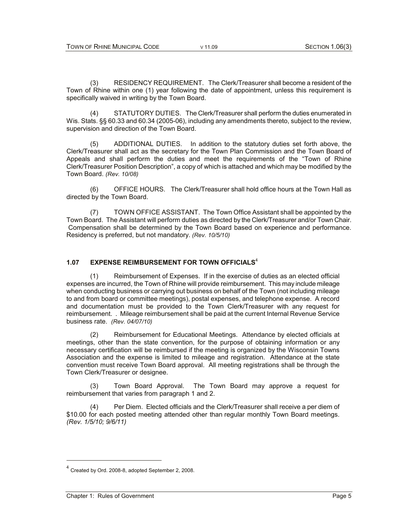(3) RESIDENCY REQUIREMENT. The Clerk/Treasurer shall become a resident of the Town of Rhine within one (1) year following the date of appointment, unless this requirement is specifically waived in writing by the Town Board.

(4) STATUTORY DUTIES. The Clerk/Treasurer shall perform the duties enumerated in Wis. Stats. §§ 60.33 and 60.34 (2005-06), including any amendments thereto, subject to the review, supervision and direction of the Town Board.

(5) ADDITIONAL DUTIES. In addition to the statutory duties set forth above, the Clerk/Treasurer shall act as the secretary for the Town Plan Commission and the Town Board of Appeals and shall perform the duties and meet the requirements of the "Town of Rhine Clerk/Treasurer Position Description", a copy of which is attached and which may be modified by the Town Board. *(Rev. 10/08)*

(6) OFFICE HOURS. The Clerk/Treasurer shall hold office hours at the Town Hall as directed by the Town Board.

(7) TOWN OFFICE ASSISTANT. The Town Office Assistant shall be appointed by the Town Board. The Assistant will perform duties as directed by the Clerk/Treasurer and/or Town Chair. Compensation shall be determined by the Town Board based on experience and performance. Residency is preferred, but not mandatory. *(Rev. 10/5/10)*

### **1.07 EXPENSE REIMBURSEMENT FOR TOWN OFFICIALS**<sup>4</sup>

(1) Reimbursement of Expenses. If in the exercise of duties as an elected official expenses are incurred, the Town of Rhine will provide reimbursement. This may include mileage when conducting business or carrying out business on behalf of the Town (not including mileage to and from board or committee meetings), postal expenses, and telephone expense. A record and documentation must be provided to the Town Clerk/Treasurer with any request for reimbursement. . Mileage reimbursement shall be paid at the current Internal Revenue Service business rate. *(Rev. 04/07/10)*

(2) Reimbursement for Educational Meetings. Attendance by elected officials at meetings, other than the state convention, for the purpose of obtaining information or any necessary certification will be reimbursed if the meeting is organized by the Wisconsin Towns Association and the expense is limited to mileage and registration. Attendance at the state convention must receive Town Board approval. All meeting registrations shall be through the Town Clerk/Treasurer or designee.

(3) Town Board Approval. The Town Board may approve a request for reimbursement that varies from paragraph 1 and 2.

(4) Per Diem. Elected officials and the Clerk/Treasurer shall receive a per diem of \$10.00 for each posted meeting attended other than regular monthly Town Board meetings. *(Rev. 1/5/10; 9/6/11)*

<sup>&</sup>lt;sup>4</sup> Created by Ord. 2008-8, adopted September 2, 2008.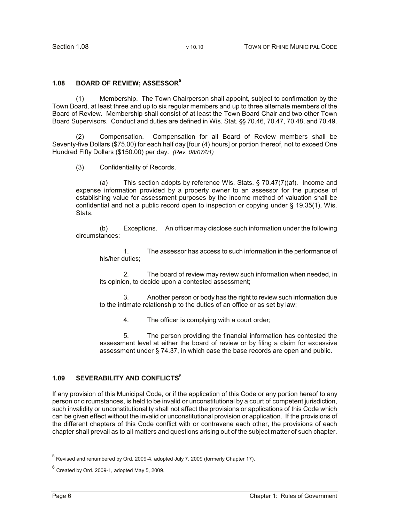### **1.08 BOARD OF REVIEW; ASSESSOR<sup>5</sup>**

(1) Membership. The Town Chairperson shall appoint, subject to confirmation by the Town Board, at least three and up to six regular members and up to three alternate members of the Board of Review. Membership shall consist of at least the Town Board Chair and two other Town Board Supervisors. Conduct and duties are defined in Wis. Stat. § 70.46, 70.47, 70.48, and 70.49.

(2) Compensation. Compensation for all Board of Review members shall be Seventy-five Dollars (\$75.00) for each half day [four (4) hours] or portion thereof, not to exceed One Hundred Fifty Dollars (\$150.00) per day. *(Rev. 08/07/01)*

(3) Confidentiality of Records.

(a) This section adopts by reference Wis. Stats. § 70.47(7)(af). Income and expense information provided by a property owner to an assessor for the purpose of establishing value for assessment purposes by the income method of valuation shall be confidential and not a public record open to inspection or copying under § 19.35(1), Wis. **Stats**.

(b) Exceptions. An officer may disclose such information under the following circumstances:

1. The assessor has access to such information in the performance of his/her duties;

2. The board of review may review such information when needed, in its opinion, to decide upon a contested assessment;

3. Another person or body has the right to review such information due to the intimate relationship to the duties of an office or as set by law;

4. The officer is complying with a court order;

5. The person providing the financial information has contested the assessment level at either the board of review or by filing a claim for excessive assessment under § 74.37, in which case the base records are open and public.

#### **1.09 SEVERABILITY AND CONFLICTS**<sup>6</sup>

If any provision of this Municipal Code, or if the application of this Code or any portion hereof to any person or circumstances, is held to be invalid or unconstitutional by a court of competent jurisdiction, such invalidity or unconstitutionality shall not affect the provisions or applications of this Code which can be given effect without the invalid or unconstitutional provision or application. If the provisions of the different chapters of this Code conflict with or contravene each other, the provisions of each chapter shall prevail as to all matters and questions arising out of the subject matter of such chapter.

<sup>&</sup>lt;sup>5</sup> Revised and renumbered by Ord. 2009-4, adopted July 7, 2009 (formerly Chapter 17).

 $^6$  Created by Ord. 2009-1, adopted May 5, 2009.